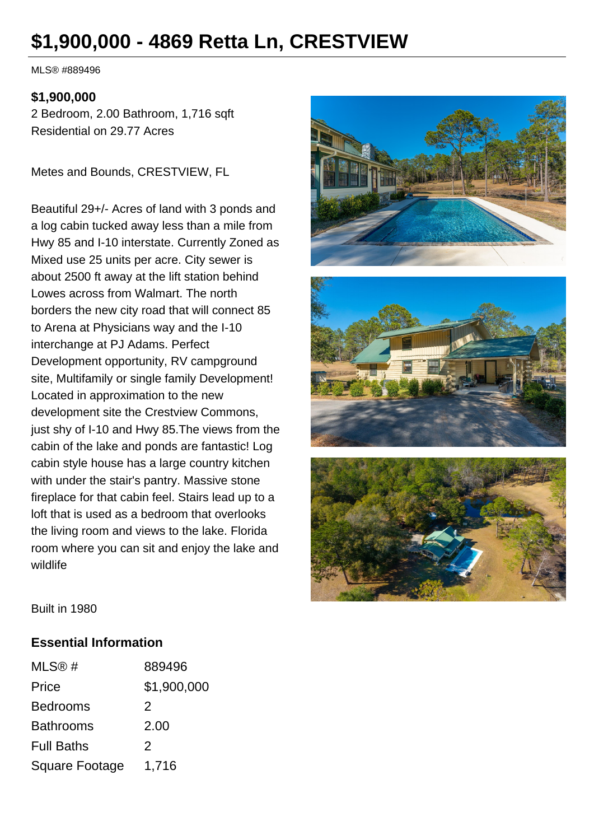# **\$1,900,000 - 4869 Retta Ln, CRESTVIEW**

MLS® #889496

#### **\$1,900,000**

2 Bedroom, 2.00 Bathroom, 1,716 sqft Residential on 29.77 Acres

Metes and Bounds, CRESTVIEW, FL

Beautiful 29+/- Acres of land with 3 ponds and a log cabin tucked away less than a mile from Hwy 85 and I-10 interstate. Currently Zoned as Mixed use 25 units per acre. City sewer is about 2500 ft away at the lift station behind Lowes across from Walmart. The north borders the new city road that will connect 85 to Arena at Physicians way and the I-10 interchange at PJ Adams. Perfect Development opportunity, RV campground site, Multifamily or single family Development! Located in approximation to the new development site the Crestview Commons, just shy of I-10 and Hwy 85.The views from the cabin of the lake and ponds are fantastic! Log cabin style house has a large country kitchen with under the stair's pantry. Massive stone fireplace for that cabin feel. Stairs lead up to a loft that is used as a bedroom that overlooks the living room and views to the lake. Florida room where you can sit and enjoy the lake and wildlife







Built in 1980

#### **Essential Information**

| MLS@#                 | 889496      |
|-----------------------|-------------|
| Price                 | \$1,900,000 |
| <b>Bedrooms</b>       | 2           |
| <b>Bathrooms</b>      | 2.00        |
| <b>Full Baths</b>     | 2           |
| <b>Square Footage</b> | 1,716       |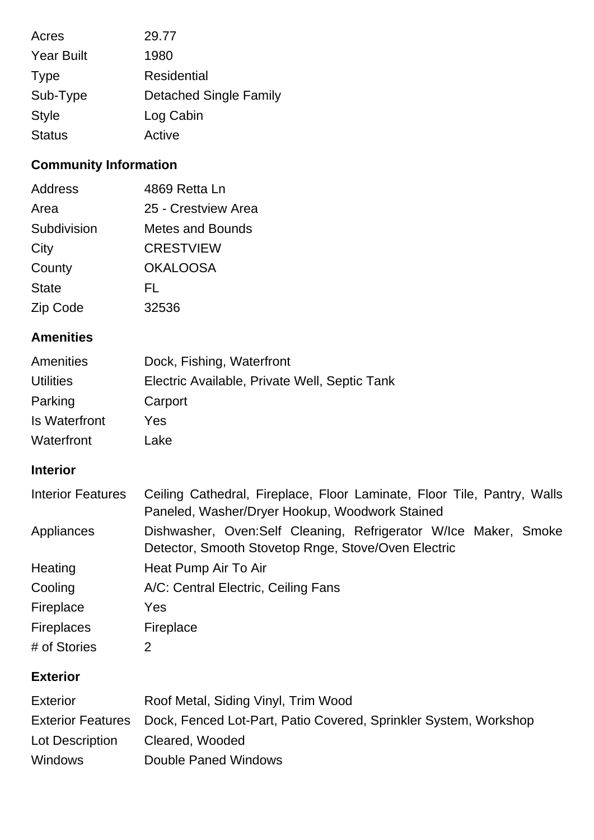| Acres             | 29.77                         |
|-------------------|-------------------------------|
| <b>Year Built</b> | 1980                          |
| <b>Type</b>       | Residential                   |
| Sub-Type          | <b>Detached Single Family</b> |
| <b>Style</b>      | Log Cabin                     |
| <b>Status</b>     | Active                        |

# **Community Information**

| Address      | 4869 Retta Ln       |
|--------------|---------------------|
| Area         | 25 - Crestview Area |
| Subdivision  | Metes and Bounds    |
| City         | <b>CRESTVIEW</b>    |
| County       | <b>OKALOOSA</b>     |
| <b>State</b> | FL                  |
| Zip Code     | 32536               |

# **Amenities**

| Amenities        | Dock, Fishing, Waterfront                     |
|------------------|-----------------------------------------------|
| <b>Utilities</b> | Electric Available, Private Well, Septic Tank |
| Parking          | Carport                                       |
| Is Waterfront    | Yes                                           |
| Waterfront       | Lake                                          |

# **Interior**

| <b>Interior Features</b> | Ceiling Cathedral, Fireplace, Floor Laminate, Floor Tile, Pantry, Walls<br>Paneled, Washer/Dryer Hookup, Woodwork Stained |
|--------------------------|---------------------------------------------------------------------------------------------------------------------------|
| Appliances               | Dishwasher, Oven:Self Cleaning, Refrigerator W/Ice Maker, Smoke<br>Detector, Smooth Stovetop Rnge, Stove/Oven Electric    |
| Heating                  | Heat Pump Air To Air                                                                                                      |
| Cooling                  | A/C: Central Electric, Ceiling Fans                                                                                       |
| Fireplace                | Yes                                                                                                                       |
| <b>Fireplaces</b>        | Fireplace                                                                                                                 |
| # of Stories             | 2                                                                                                                         |

# **Exterior**

| <b>Exterior</b> | Roof Metal, Siding Vinyl, Trim Wood                                                |
|-----------------|------------------------------------------------------------------------------------|
|                 | Exterior Features Dock, Fenced Lot-Part, Patio Covered, Sprinkler System, Workshop |
| Lot Description | Cleared, Wooded                                                                    |
| <b>Windows</b>  | Double Paned Windows                                                               |